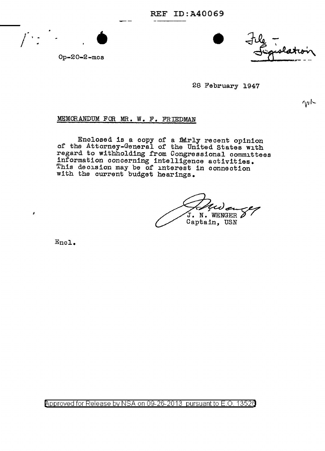REF ID:A40069

Op-20-2-mcs  $\bullet$ 

 $\int \cdot$ .

 $\sim$ 

28 February 1947

# MEMORANDUM FOR MR. W. F. FRIEDMAN

Enclosed is a copy of a fairly recent opinion of the Attorney-General of the United States with regard to withholding from Congressional committees information concerning intelligence activities. This decision may be of interest in connection with the current budget hearings.

J. N. WENGER  $\geq$ Captain, USN

Encl.

ź

Approved for Release by NSA on 09-26-2013 pursuant to E.O. 13526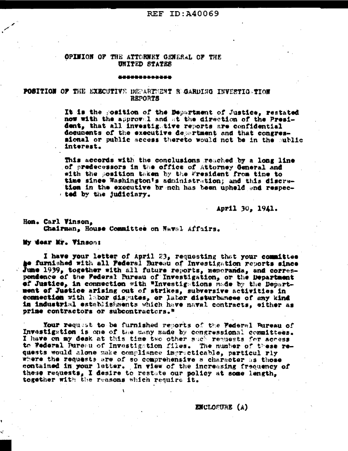## OPINION OF THE ATTORNEY GENERAL OF THE UNITED STATES

#### \*\*\*\*\*\*\*\*\*\*\*\*

## POSITION OF THE EXECUTIVE DEPARTMENT REGARDING INVESTIGETION **REPORTS**

It is the position of the Department of Justice, restated now with the approval and at the direction of the President, that all investigative reports are confidential documents of the executive department and that congressional or public access thereto would not be in the public interest.

This accords with the conclusions reached by a long line of predecessors in the office of Attorney General and with the position taken by the Fresident from time to time since Washington's administration; and this discretion in the executive branch has been upheld and respected by the judiciary.

April 30, 1941.

Hon. Carl Vinson.

Chairman, House Committee on Naval Affairs.

#### My dear Mr. Vinson:

I have your letter of April 23, requesting that your committee he furnished with all Federal Bureau of Investigation reports since June 1939, together with all future reports, memoranda, and correspondence of the Federal Pureau of Investigation, or the Department of Justice, in connection with "Investigations made by the Department of Justice arising out of strikes, subversive activities in connection with labor disputes, or labor disturbanees of any kind in industrial establishments which have naval contracts, either as prime contractors or subcontractors."

Your request to be furnished reports of the Federal Bureau of Investigation is one of the many made by congressional committees. I have on my desk at this time two other such requests for access to Federal Pureau of Investigation files. The number of these requests would alone make compliance imprecticable, particul rly where the requests are of so comprehensive a character as those contained in your letter. In view of the increasing frequency of these requests, I desire to restate our policy at some length, together with the reasons which require it.

**ENCLOSURE (A)**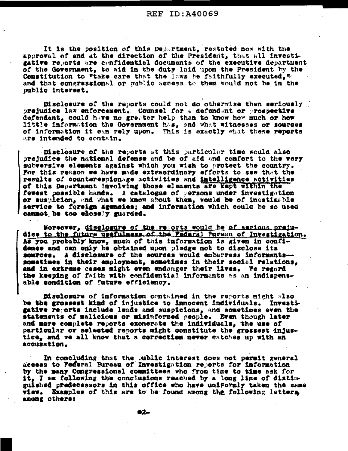It is the position of this Department, restated now with the approval of and at the direction of the President, that all investigative reports are confidential documents of the executive department of the Government, to aid in the duty laid upon the President by the Constitution to "take care that the laws be faithfully executed," and that congressional or public access to them would not be in the public interest.

Disclosure of the reports could not do otherwise than seriously prejudice law enforcement. Counsel for a defendant or prospective defendant, could have no greater help than to know how much or how little information the Government has, and what witnesses or sources of information it can rely upon. This is exactly what these reports are intended to contain.

Disclosure of the reports at this particular time would also prejudice the national defense and be of aid and comfort to the very subversive elements against which you wish to protect the country. For this reason we have made extraordinary efforts to see that the results of counterespionage activities and intelligence activities of this Department involving those elements are kept within the fewest possible hands. A catalogue of persons under investigation or suspicion, and what we know about them, would be of inestimable service to foreign agencies; and information which could be so used cannot be too chosely guarded.

Moreover, disclosure of the regorts would be of serious prejudice to the future usefulness of the Federal Bureau of Investigation. As you probably know, much of this information is given in confidence and can only be obtained upon pledge not to disclose its sources. A disclosure of the sources would enharrass informants-sometimes in their employment, sometimes in their social relations, and in extreme cases might even endanger their lives. We regard the keeping of faith with confidential informants as an indispensable condition of future efficiency.

Disclosure of information contained in the reports might slso be the grossest kind of injustice to innocent individuals. Investigative reports include leads and suspicions, and sometimes even the statements of malicious or misinformed people. Even though later and more complete reports exonerate the individuals, the use of particular or selected reports might constitute the grossest injustice, and we all know that a correction never catches up with an accusation.

In concluding that the sublic interest does not permit general access to Federal Bureau of Investigation reports for information by the many Congressional committees who from time to time ask for it, I am following the conclusions reached by a long line of distinguished predecessors in this office who have uniformly taken the same view. Examples of this are to be found among the following letters, among others: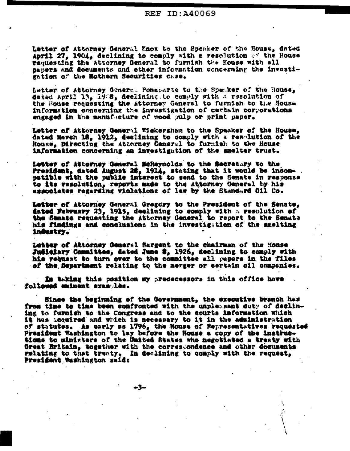Letter of Attorney General Knox to the Speaker of the House, dated April 27, 1904, declining to comply with a resolution of the House requesting the attorney General to furnish the House with all papers and documents and other information concerning the investigation of the Nothern Securities case.

Letter of Attorney General Ponagarte to the Speaker of the House, dated April 13, 1908, declining to comply with a resolution of the Bouse requesting the Attorney General to furnish to the House information concerning the investigation of certain corporations. engaged in the manufacture of wood pulp or print paper.

Letter of Attorney General Wickersham to the Speaker of the House, dated March 18, 1912, declining to comply with a resulution of the Rouse, Directing the Attorney Ceneral to furnish to the House information concerning an investigation of the smelter trust.

Letter of Attorney General McReynolds to the Secretary to the President, dated August 26, 1914, stating that it would be incom-<br>patible with the public interest to send to the Senate in response to its resolution, reports made to the Attorney General by his associates regarding violations of law by the Standard Oil Co.

Letter of Attorney General Gregory to the President of the Senate, dated February 23, 1915, declining to comply with a resolution of the Senate requesting the Attorney General to report to the Senate his findings and conclusions in the investigation of the smelting industry.

Letter of Attorney General Sargent to the chairman of the House Judieiary Committee, dated June 8, 1926, declining to comply with his request to turn over to the committee all papers in the files of the Department relating to the merger or certain oil companies.

In taking this position my predecessors in this office have followed eminent examples.

Since the beginning of the Government, the executive branch has from time to time been confronted with the unpleasant duty of declining to furnish to the Congress and to the courts information which it has acquired and which is necessary to it in the administration of statutes. As early as 1796, the House of Representatives requested President Washington to lay before the House a copy of the instructions to ministers of the United States who negotiated a treaty with Great Britain, together with the correspondence and other documents relating to that treaty. In declining to comply with the request, President Washington said:

⊷3∞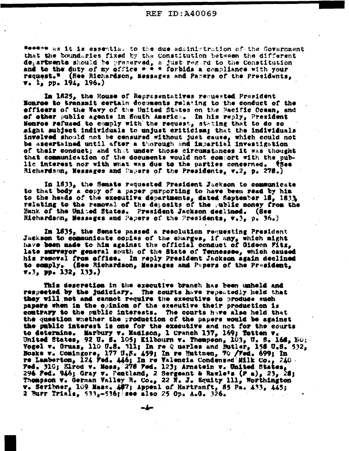"\*\*\*\*\* as it is essentia, to the due administration of the Government that the boundaries fixed by the Constitution between the different departments should be preserved, a just regard to the Constitution<br>and to the duty of my office  $\rightarrow$   $\rightarrow$  forbids a compliance with your request." (See Richardson, Messages and Papers of the Presidents,  $\mathbf{v}_4$ , 1, pp. 194, 196.)

In 1825, the House of Representatives requested President Nonroe to transmit certain documents relating to the conduct of the officers of the Navy of the United States on the Pacific Ocean, and of other public agents in South America. In his reply, President Monroe refused to comply with the request, stating that to do so sight subject individuals to unjust criticism; that the individuals invelved should not be censured without just cause, which could not be ascertained until after a thorough and impartial investigation of their conduct; and that under those circusstances it was thought that communication of the documents would not comport with the public interest nor with what was due to the parties concerned. (See Richardson, Nessages and Papers of the Presidents, v.2, p. 278.)

In 1833, the Senate requested President Jackson to communicate to that body a copy of a paper purporting to have been read by him to the heads of the executive departments, dated September 18, 1833, relating to the removal of the deposits of the public money from the Bank of the United States. President Jackson declined. (See Hichardson, Nessages and Papers of the Presidents, v.3, p. 36.)

In 1835, the Senate passed a resolution requesting President Jackson to communicate copies of the charges, if any, which might have been made to him against the official conduct of Gideon Fitz, late surveyor general south of the State of Tennessee, which caused his removal from effice. In reply President Jackson again declined to comply. (See Richardson, Messages and Papers of the President,  $v.3, pp.132, 133.$ 

This descretion in the executive branch has been unheld and respected by the judiciary. The courts have repeatedly held that they will not and cannot require the executive to produce such papers when in the opinion of the executive their production is contrary to the public interests. The courts have also held that the question whether the production of the papers would be against the public interest is one for the executive and not for the courts to determine. Marbury v. Madison, 1 Cranch 137, 169; Tetten v. 30; 168, 169; Yogel v. Gruaz, 110 U.S. 311; In re Q uarles and Butler, 156 U.S. 532, Boske v. Comingors, 177 U.S. 459; In re Huttmen, 70 /red. 699; In re Lamberton, 124 Ped. 446; In re Valencia Condensed Milk Co., 240.<br>Ped. 310; Elrod v. Moss, 276 Ped. 123; Arnstein v. United States, 296 Ped. 946; Gray v. Pentland, 2 Sergeant & Rawle's (P a), 23, 28; Thompson v. German Valley R. Co., 22 N. J. Equity 111, Worthington v. Seribner, 109 Mass. 4#7; Appeal of Hartranft, 85 Pa. 433, 445; 2 Burr Trials, 533,-536; see also 25 Op. A.G. 326.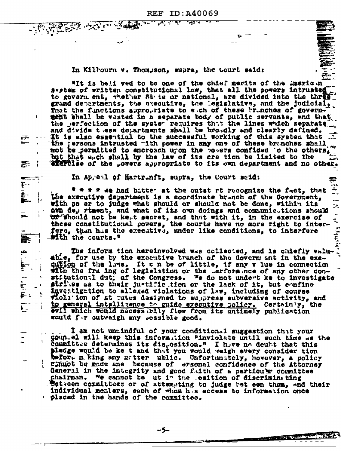<u>र प्राप्त पर</u>

#### In Kilbourn v. Thompson, supra, the tourt said:

<u>ফুল্রাজ্য</u>

"It is beli ved to be one of the chief merits of the americ n system of written constitutional law, that all the powers intrusted st 1 to govern ent, whether State or national, are divided into the three grand departments, the executive, the legislative, and the judicial, That the functions appropriate to each of these tranches of government shall be vested in a separate body of public servants, and that. and divide these dopartments shall be broadly and clearly defined. It is also essential to the successful working of this system that the jersons intrusted "ith power in any one of these branches shall not be permitted to encroach upon the posers confided to the others. but that each shall by the law of its cre tion be limited to the WITClie of the powers appropriate to its own department and no other.

In Appenl of Hartrunft, supra, the Court said:

芹

£  $\mathbf{F}$ :

Ļ

 $\mathbf{f}$ 

 $\mathbb{R}$ # # # # de had bitter at the outst rt recognize the fact, that the executive department is a coordinate branch of the Government, with go er to judge what should or should not be done, within its  $\mathbb{R}$ own dep riment, and what of its own doings and communications should  $\overline{U}$  should not be ke<sub>r</sub>t secret, and that with it, in the exercise of these constitutional powers, the courts have no more right to interŧ. relation fere, than has the executive, under like conditions, to interfere with the courts."

₽

The inform tion hereinvolved was collected, and is chiefly valuable, for use by the executive tranch of the Govern ent in the executtion of the laws. It c n be of little, if any v lue in connection with the fra ing of legislation or the Lerform.nce of any other constitutional dut; of the Congress. We do not undert ke to investigate atrives as to their justific tion or the lack of it, but confine investigation to alleaed violations of law, including of course viola ion of st tutes designed to suppress subversive activity, and to general intelligence to guide executive policy. Certainly, the evil which would necessarily flow from its untimely publication would fir outweigh any possible good.

I am not unrindful of your condition. I suggestion that your goun el will keep this information "inviolate until such time as the committee determines its disposition." I have no doubt that this pladge would be ke t and that you would weigh every consider tion hefor. n king any matter ublic. Unfortunately, however, a policy train the made ane because of ersonal confidence of the Attorney General in the integrity and good faith of a particular committee ghairman. We cannot be ut in the losition of discriminating Bet seen committees or of attempting to judge bet een thom, and their individual members, each of whom his access to information once placed in the hands of the committee.

-5-